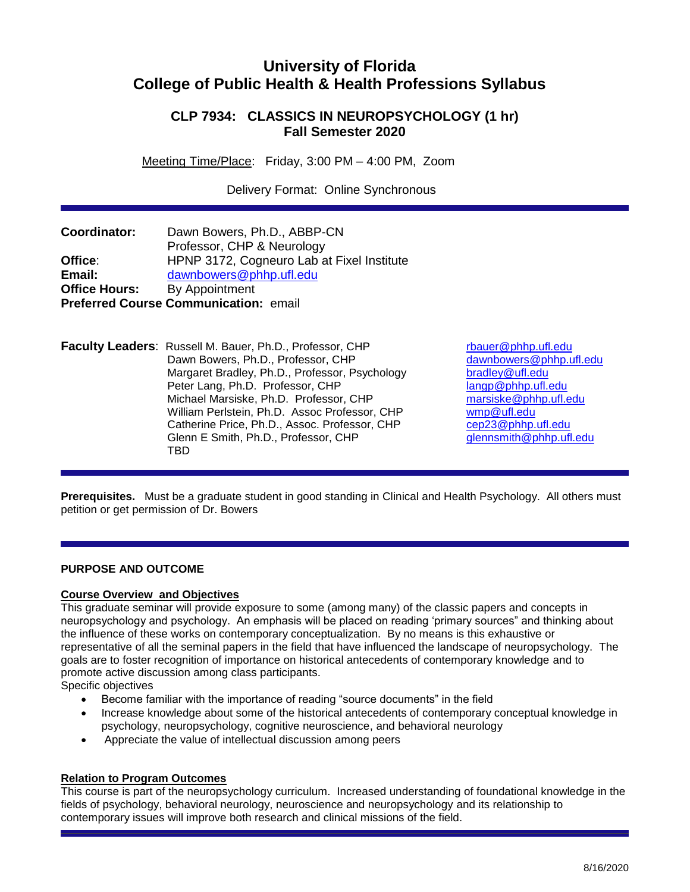# **University of Florida College of Public Health & Health Professions Syllabus**

## **CLP 7934: CLASSICS IN NEUROPSYCHOLOGY (1 hr) Fall Semester 2020**

Meeting Time/Place: Friday, 3:00 PM – 4:00 PM, Zoom

Delivery Format: Online Synchronous

| Coordinator:         | Dawn Bowers, Ph.D., ABBP-CN                |
|----------------------|--------------------------------------------|
|                      | Professor, CHP & Neurology                 |
| Office:              | HPNP 3172, Cogneuro Lab at Fixel Institute |
| Email:               | dawnbowers@phhp.ufl.edu                    |
| <b>Office Hours:</b> | By Appointment                             |
|                      | Preferred Course Communication: email      |

**Faculty Leaders:** Russell M. Bauer, Ph.D., Professor, CHP [rbauer@phhp.ufl.edu](mailto:rbauer@phhp.ufl.edu) Dawn Bowers, Ph.D., Professor, CHP [dawnbowers@phhp.ufl.edu](mailto:dawnbowers@phhp.ufl.edu) Margaret Bradley, Ph.D., Professor, Psychology bradley@ufl.edu Peter Lang, Ph.D. Professor, CHP [langp@phhp.ufl.edu](mailto:langp@phhp.ufl.edu) Michael Marsiske, Ph.D. Professor, CHP [marsiske@phhp.ufl.edu](mailto:marsiske@phhp.ufl.edu) William Perlstein, Ph.D. Assoc Professor, CHP [wmp@ufl.edu](mailto:wmp@ufl.edu) Catherine Price, Ph.D., Assoc. Professor, CHP [cep23@phhp.ufl.edu](mailto:cep23@phhp.ufl.edu) Glenn E Smith, Ph.D., Professor, CHP [glennsmith@phhp.ufl.edu](mailto:glennsmith@phhp.ufl.edu) TBD

**Prerequisites.** Must be a graduate student in good standing in Clinical and Health Psychology. All others must petition or get permission of Dr. Bowers

### **PURPOSE AND OUTCOME**

### **Course Overview and Objectives**

This graduate seminar will provide exposure to some (among many) of the classic papers and concepts in neuropsychology and psychology. An emphasis will be placed on reading 'primary sources" and thinking about the influence of these works on contemporary conceptualization. By no means is this exhaustive or representative of all the seminal papers in the field that have influenced the landscape of neuropsychology. The goals are to foster recognition of importance on historical antecedents of contemporary knowledge and to promote active discussion among class participants.

Specific objectives

- Become familiar with the importance of reading "source documents" in the field
- Increase knowledge about some of the historical antecedents of contemporary conceptual knowledge in psychology, neuropsychology, cognitive neuroscience, and behavioral neurology
- Appreciate the value of intellectual discussion among peers

### **Relation to Program Outcomes**

This course is part of the neuropsychology curriculum. Increased understanding of foundational knowledge in the fields of psychology, behavioral neurology, neuroscience and neuropsychology and its relationship to contemporary issues will improve both research and clinical missions of the field.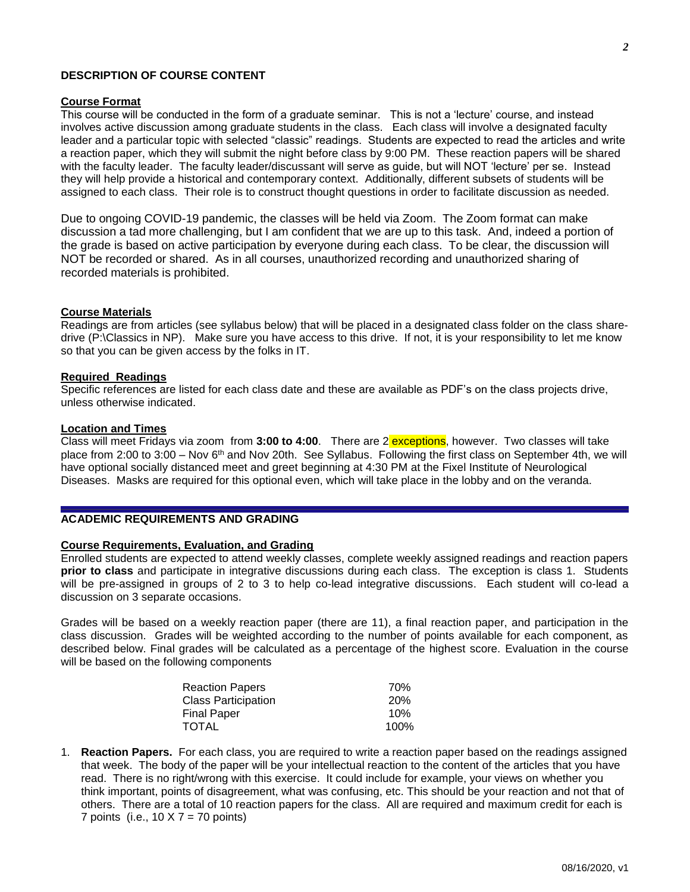### **DESCRIPTION OF COURSE CONTENT**

#### **Course Format**

This course will be conducted in the form of a graduate seminar. This is not a 'lecture' course, and instead involves active discussion among graduate students in the class. Each class will involve a designated faculty leader and a particular topic with selected "classic" readings. Students are expected to read the articles and write a reaction paper, which they will submit the night before class by 9:00 PM. These reaction papers will be shared with the faculty leader. The faculty leader/discussant will serve as guide, but will NOT 'lecture' per se. Instead they will help provide a historical and contemporary context. Additionally, different subsets of students will be assigned to each class. Their role is to construct thought questions in order to facilitate discussion as needed.

Due to ongoing COVID-19 pandemic, the classes will be held via Zoom. The Zoom format can make discussion a tad more challenging, but I am confident that we are up to this task. And, indeed a portion of the grade is based on active participation by everyone during each class. To be clear, the discussion will NOT be recorded or shared. As in all courses, unauthorized recording and unauthorized sharing of recorded materials is prohibited.

#### **Course Materials**

Readings are from articles (see syllabus below) that will be placed in a designated class folder on the class sharedrive (P:\Classics in NP). Make sure you have access to this drive. If not, it is your responsibility to let me know so that you can be given access by the folks in IT.

#### **Required Readings**

Specific references are listed for each class date and these are available as PDF's on the class projects drive, unless otherwise indicated.

#### **Location and Times**

Class will meet Fridays via zoom from **3:00 to 4:00**. There are 2 exceptions, however. Two classes will take place from 2:00 to 3:00 – Nov 6th and Nov 20th. See Syllabus. Following the first class on September 4th, we will have optional socially distanced meet and greet beginning at 4:30 PM at the Fixel Institute of Neurological Diseases. Masks are required for this optional even, which will take place in the lobby and on the veranda.

### **ACADEMIC REQUIREMENTS AND GRADING**

#### **Course Requirements, Evaluation, and Grading**

Enrolled students are expected to attend weekly classes, complete weekly assigned readings and reaction papers **prior to class** and participate in integrative discussions during each class. The exception is class 1. Students will be pre-assigned in groups of 2 to 3 to help co-lead integrative discussions. Each student will co-lead a discussion on 3 separate occasions.

Grades will be based on a weekly reaction paper (there are 11), a final reaction paper, and participation in the class discussion. Grades will be weighted according to the number of points available for each component, as described below. Final grades will be calculated as a percentage of the highest score. Evaluation in the course will be based on the following components

| <b>Reaction Papers</b>     | 70%        |
|----------------------------|------------|
| <b>Class Participation</b> | <b>20%</b> |
| Final Paper                | 10%        |
| <b>TOTAL</b>               | 100%       |

1. **Reaction Papers.** For each class, you are required to write a reaction paper based on the readings assigned that week. The body of the paper will be your intellectual reaction to the content of the articles that you have read. There is no right/wrong with this exercise. It could include for example, your views on whether you think important, points of disagreement, what was confusing, etc. This should be your reaction and not that of others. There are a total of 10 reaction papers for the class. All are required and maximum credit for each is 7 points (i.e.,  $10 \times 7 = 70$  points)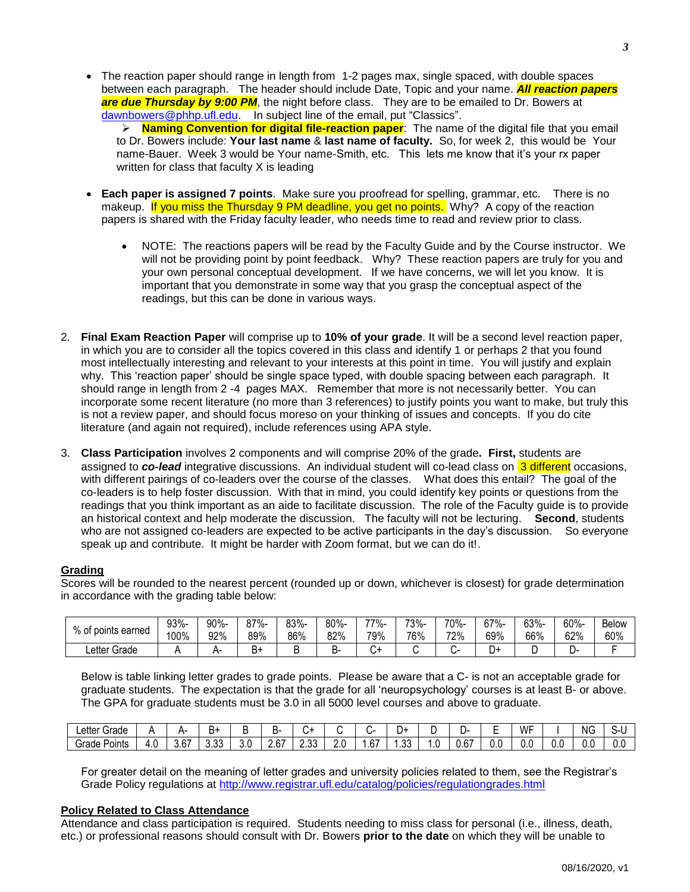• The reaction paper should range in length from 1-2 pages max, single spaced, with double spaces between each paragraph. The header should include Date, Topic and your name. *All reaction papers*  are due Thursday by 9:00 PM, the night before class. They are to be emailed to Dr. Bowers at [dawnbowers@phhp.ufl.edu.](mailto:dawnbowers@phhp.ufl.edu) In subject line of the email, put "Classics".

 **Naming Convention for digital file-reaction paper**: The name of the digital file that you email to Dr. Bowers include: **Your last name** & **last name of faculty.** So, for week 2, this would be Your name-Bauer. Week 3 would be Your name-Smith, etc. This lets me know that it's your rx paper written for class that faculty X is leading

- **Each paper is assigned 7 points**. Make sure you proofread for spelling, grammar, etc. There is no makeup. If you miss the Thursday 9 PM deadline, you get no points. Why? A copy of the reaction papers is shared with the Friday faculty leader, who needs time to read and review prior to class.
	- NOTE: The reactions papers will be read by the Faculty Guide and by the Course instructor. We will not be providing point by point feedback. Why? These reaction papers are truly for you and your own personal conceptual development. If we have concerns, we will let you know. It is important that you demonstrate in some way that you grasp the conceptual aspect of the readings, but this can be done in various ways.
- 2. **Final Exam Reaction Paper** will comprise up to **10% of your grade**. It will be a second level reaction paper, in which you are to consider all the topics covered in this class and identify 1 or perhaps 2 that you found most intellectually interesting and relevant to your interests at this point in time. You will justify and explain why. This 'reaction paper' should be single space typed, with double spacing between each paragraph. It should range in length from 2 -4 pages MAX. Remember that more is not necessarily better. You can incorporate some recent literature (no more than 3 references) to justify points you want to make, but truly this is not a review paper, and should focus moreso on your thinking of issues and concepts. If you do cite literature (and again not required), include references using APA style.
- 3. **Class Participation** involves 2 components and will comprise 20% of the grade**. First,** students are assigned to *co-lead* integrative discussions. An individual student will co-lead class on 3 different occasions, with different pairings of co-leaders over the course of the classes. What does this entail? The goal of the co-leaders is to help foster discussion. With that in mind, you could identify key points or questions from the readings that you think important as an aide to facilitate discussion. The role of the Faculty guide is to provide an historical context and help moderate the discussion. The faculty will not be lecturing. **Second**, students who are not assigned co-leaders are expected to be active participants in the day's discussion. So everyone speak up and contribute. It might be harder with Zoom format, but we can do it!.

### **Grading**

Scores will be rounded to the nearest percent (rounded up or down, whichever is closest) for grade determination in accordance with the grading table below:

| % of            | 93%- | 90%- | ९7%- | 83%- | 80%- | $77% -$ | 73%- | 70%- | 67% | 63% | $60% -$ | <b>Below</b> |
|-----------------|------|------|------|------|------|---------|------|------|-----|-----|---------|--------------|
| * points earned | 100% | 92%  | 89%  | 86%  | 82%  | 79%     | 76%  | 72%  | 69% | 66% | 62%     | 60%          |
| Letter Grade    |      |      | В+   |      | ╮.   |         |      |      | ≁ر  |     |         |              |

Below is table linking letter grades to grade points. Please be aware that a C- is not an acceptable grade for graduate students. The expectation is that the grade for all 'neuropsychology' courses is at least B- or above. The GPA for graduate students must be 3.0 in all 5000 level courses and above to graduate.

| $\blacksquare$<br>Grade<br>∟etter ′ |                    |                                    | .<br>ים        |    | n-<br>-              |                |                |                                   | ⊬ل             |              | .    | $\frac{1}{2} \left( \frac{1}{2} \right) \left( \frac{1}{2} \right) \left( \frac{1}{2} \right) \left( \frac{1}{2} \right) \left( \frac{1}{2} \right) \left( \frac{1}{2} \right) \left( \frac{1}{2} \right) \left( \frac{1}{2} \right) \left( \frac{1}{2} \right) \left( \frac{1}{2} \right) \left( \frac{1}{2} \right) \left( \frac{1}{2} \right) \left( \frac{1}{2} \right) \left( \frac{1}{2} \right) \left( \frac{1}{2} \right) \left( \frac{1}{2} \right) \left( \frac$<br>. . | <b>WF</b><br><b>v v 1</b> |     | NG  | . .<br>٦.<br>. . |
|-------------------------------------|--------------------|------------------------------------|----------------|----|----------------------|----------------|----------------|-----------------------------------|----------------|--------------|------|-----------------------------------------------------------------------------------------------------------------------------------------------------------------------------------------------------------------------------------------------------------------------------------------------------------------------------------------------------------------------------------------------------------------------------------------------------------------------------------|---------------------------|-----|-----|------------------|
| -<br>Points<br>Grade                | $\mathbf{u}$<br>،v | $\sim$<br><b>.</b><br>3.b <i>i</i> | $\sim$<br>ບ.ບບ | いい | $\sim$<br>™ L<br>--- | $\sim$<br>ںں.ے | Ί.<br><u>.</u> | $\sim$<br>n.<br>$\cdot$ . $\cdot$ | $\sim$<br>. טש | $\sim$<br>.v | J.67 | $\overline{\phantom{a}}$<br>O.C                                                                                                                                                                                                                                                                                                                                                                                                                                                   | U.U                       | v.J | v.v | 0.0              |

For greater detail on the meaning of letter grades and university policies related to them, see the Registrar's Grade Policy regulations at<http://www.registrar.ufl.edu/catalog/policies/regulationgrades.html>

### **Policy Related to Class Attendance**

Attendance and class participation is required. Students needing to miss class for personal (i.e., illness, death, etc.) or professional reasons should consult with Dr. Bowers **prior to the date** on which they will be unable to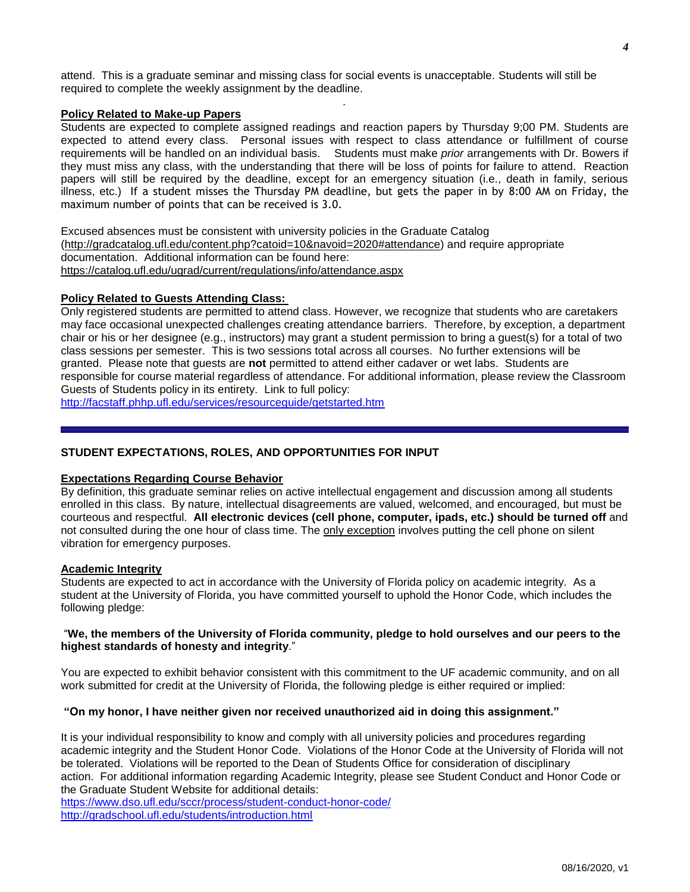attend. This is a graduate seminar and missing class for social events is unacceptable. Students will still be required to complete the weekly assignment by the deadline.

### **Policy Related to Make-up Papers**

Students are expected to complete assigned readings and reaction papers by Thursday 9;00 PM. Students are expected to attend every class. Personal issues with respect to class attendance or fulfillment of course requirements will be handled on an individual basis. Students must make *prior* arrangements with Dr. Bowers if they must miss any class, with the understanding that there will be loss of points for failure to attend. Reaction papers will still be required by the deadline, except for an emergency situation (i.e., death in family, serious illness, etc.) If a student misses the Thursday PM deadline, but gets the paper in by 8:00 AM on Friday, the maximum number of points that can be received is 3.0.

*.*

Excused absences must be consistent with university policies in the Graduate Catalog [\(http://gradcatalog.ufl.edu/content.php?catoid=10&navoid=2020#attendance\)](http://gradcatalog.ufl.edu/content.php?catoid=10&navoid=2020#attendance) and require appropriate documentation. Additional information can be found here: <https://catalog.ufl.edu/ugrad/current/regulations/info/attendance.aspx>

### **Policy Related to Guests Attending Class:**

Only registered students are permitted to attend class. However, we recognize that students who are caretakers may face occasional unexpected challenges creating attendance barriers. Therefore, by exception, a department chair or his or her designee (e.g., instructors) may grant a student permission to bring a guest(s) for a total of two class sessions per semester. This is two sessions total across all courses. No further extensions will be granted. Please note that guests are **not** permitted to attend either cadaver or wet labs. Students are responsible for course material regardless of attendance. For additional information, please review the Classroom Guests of Students policy in its entirety. Link to full policy:

<http://facstaff.phhp.ufl.edu/services/resourceguide/getstarted.htm>

### **STUDENT EXPECTATIONS, ROLES, AND OPPORTUNITIES FOR INPUT**

#### **Expectations Regarding Course Behavior**

By definition, this graduate seminar relies on active intellectual engagement and discussion among all students enrolled in this class. By nature, intellectual disagreements are valued, welcomed, and encouraged, but must be courteous and respectful. **All electronic devices (cell phone, computer, ipads, etc.) should be turned off** and not consulted during the one hour of class time. The only exception involves putting the cell phone on silent vibration for emergency purposes.

#### **Academic Integrity**

Students are expected to act in accordance with the University of Florida policy on academic integrity. As a student at the University of Florida, you have committed yourself to uphold the Honor Code, which includes the following pledge:

#### "We, the members of the University of Florida community, pledge to hold ourselves and our peers to the **highest standards of honesty and integrity**."

You are expected to exhibit behavior consistent with this commitment to the UF academic community, and on all work submitted for credit at the University of Florida, the following pledge is either required or implied:

#### **"On my honor, I have neither given nor received unauthorized aid in doing this assignment."**

It is your individual responsibility to know and comply with all university policies and procedures regarding academic integrity and the Student Honor Code. Violations of the Honor Code at the University of Florida will not be tolerated. Violations will be reported to the Dean of Students Office for consideration of disciplinary action. For additional information regarding Academic Integrity, please see Student Conduct and Honor Code or the Graduate Student Website for additional details:

<https://www.dso.ufl.edu/sccr/process/student-conduct-honor-code/> <http://gradschool.ufl.edu/students/introduction.html>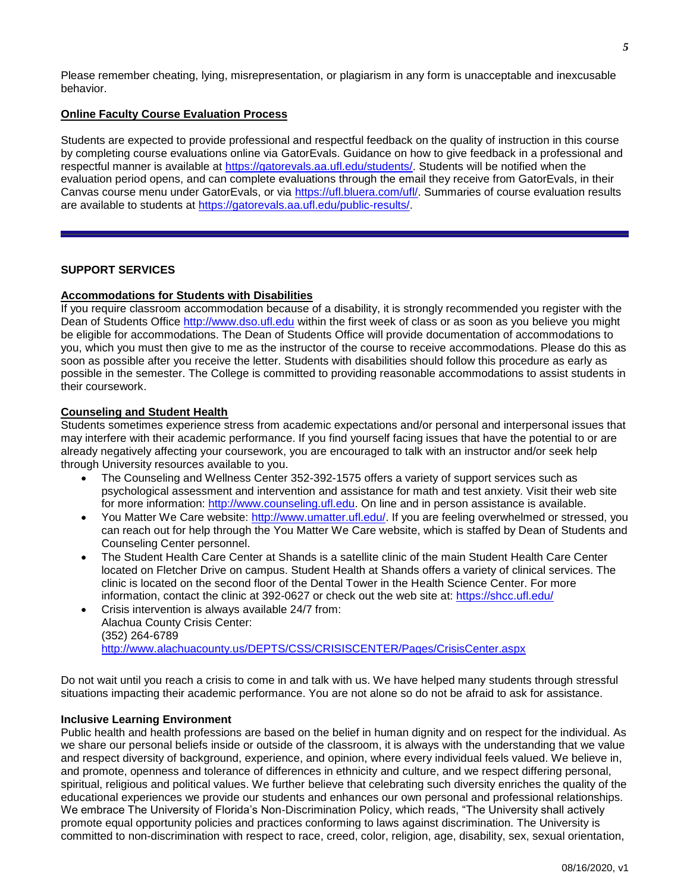Please remember cheating, lying, misrepresentation, or plagiarism in any form is unacceptable and inexcusable behavior.

### **Online Faculty Course Evaluation Process**

Students are expected to provide professional and respectful feedback on the quality of instruction in this course by completing course evaluations online via GatorEvals. Guidance on how to give feedback in a professional and respectful manner is available at [https://gatorevals.aa.ufl.edu/students/.](https://gatorevals.aa.ufl.edu/students/) Students will be notified when the evaluation period opens, and can complete evaluations through the email they receive from GatorEvals, in their Canvas course menu under GatorEvals, or via [https://ufl.bluera.com/ufl/.](https://urldefense.proofpoint.com/v2/url?u=https-3A__ufl.bluera.com_ufl_&d=DwMFAg&c=sJ6xIWYx-zLMB3EPkvcnVg&r=y2HjEMjRMHJhfdvLrqJZlYczRsfp5e4TfQjHuc5rVHg&m=WXko6OK_Ha6T00ZVAsEaSh99qRXHOgMNFRywCoehRho&s=itVU46DDJjnIg4CW6efJOOLgPjdzsPvCghyfzJoFONs&e=) Summaries of course evaluation results are available to students at [https://gatorevals.aa.ufl.edu/public-results/.](https://gatorevals.aa.ufl.edu/public-results/)

### **SUPPORT SERVICES**

### **Accommodations for Students with Disabilities**

If you require classroom accommodation because of a disability, it is strongly recommended you register with the Dean of Students Office [http://www.dso.ufl.edu](http://www.dso.ufl.edu/) within the first week of class or as soon as you believe you might be eligible for accommodations. The Dean of Students Office will provide documentation of accommodations to you, which you must then give to me as the instructor of the course to receive accommodations. Please do this as soon as possible after you receive the letter. Students with disabilities should follow this procedure as early as possible in the semester. The College is committed to providing reasonable accommodations to assist students in their coursework.

### **Counseling and Student Health**

Students sometimes experience stress from academic expectations and/or personal and interpersonal issues that may interfere with their academic performance. If you find yourself facing issues that have the potential to or are already negatively affecting your coursework, you are encouraged to talk with an instructor and/or seek help through University resources available to you.

- The Counseling and Wellness Center 352-392-1575 offers a variety of support services such as psychological assessment and intervention and assistance for math and test anxiety. Visit their web site for more information: [http://www.counseling.ufl.edu.](http://www.counseling.ufl.edu/) On line and in person assistance is available.
- You Matter We Care website: [http://www.umatter.ufl.edu/.](http://www.umatter.ufl.edu/) If you are feeling overwhelmed or stressed, you can reach out for help through the You Matter We Care website, which is staffed by Dean of Students and Counseling Center personnel.
- The Student Health Care Center at Shands is a satellite clinic of the main Student Health Care Center located on Fletcher Drive on campus. Student Health at Shands offers a variety of clinical services. The clinic is located on the second floor of the Dental Tower in the Health Science Center. For more information, contact the clinic at 392-0627 or check out the web site at: <https://shcc.ufl.edu/>
- Crisis intervention is always available 24/7 from: Alachua County Crisis Center: (352) 264-6789 <http://www.alachuacounty.us/DEPTS/CSS/CRISISCENTER/Pages/CrisisCenter.aspx>

Do not wait until you reach a crisis to come in and talk with us. We have helped many students through stressful situations impacting their academic performance. You are not alone so do not be afraid to ask for assistance.

### **Inclusive Learning Environment**

Public health and health professions are based on the belief in human dignity and on respect for the individual. As we share our personal beliefs inside or outside of the classroom, it is always with the understanding that we value and respect diversity of background, experience, and opinion, where every individual feels valued. We believe in, and promote, openness and tolerance of differences in ethnicity and culture, and we respect differing personal, spiritual, religious and political values. We further believe that celebrating such diversity enriches the quality of the educational experiences we provide our students and enhances our own personal and professional relationships. We embrace The University of Florida's Non-Discrimination Policy, which reads, "The University shall actively promote equal opportunity policies and practices conforming to laws against discrimination. The University is committed to non-discrimination with respect to race, creed, color, religion, age, disability, sex, sexual orientation,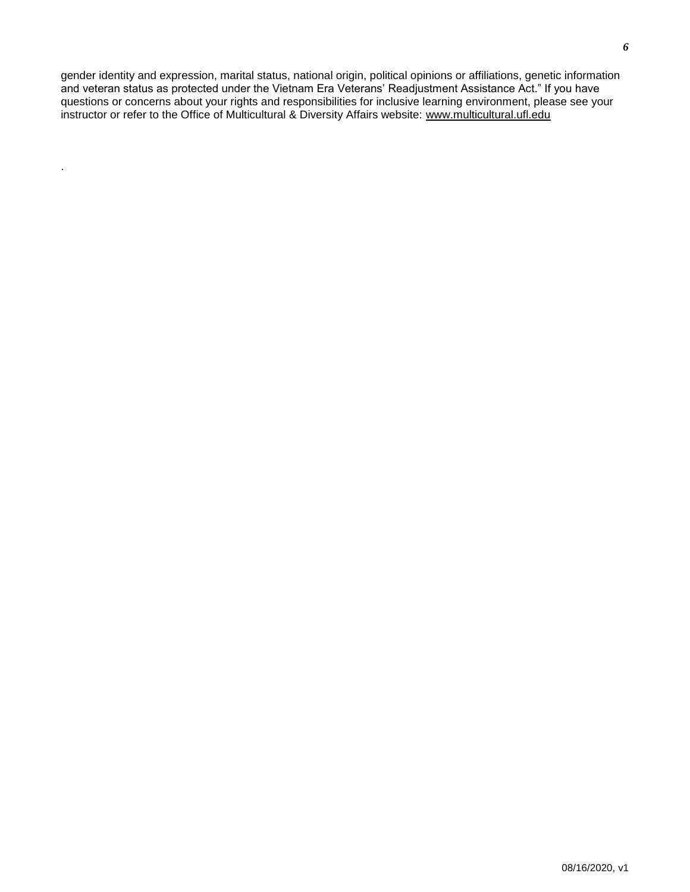gender identity and expression, marital status, national origin, political opinions or affiliations, genetic information and veteran status as protected under the Vietnam Era Veterans' Readjustment Assistance Act." If you have questions or concerns about your rights and responsibilities for inclusive learning environment, please see your instructor or refer to the Office of Multicultural & Diversity Affairs website: [www.multicultural.ufl.edu](http://www.multicultural.ufl.edu/)

.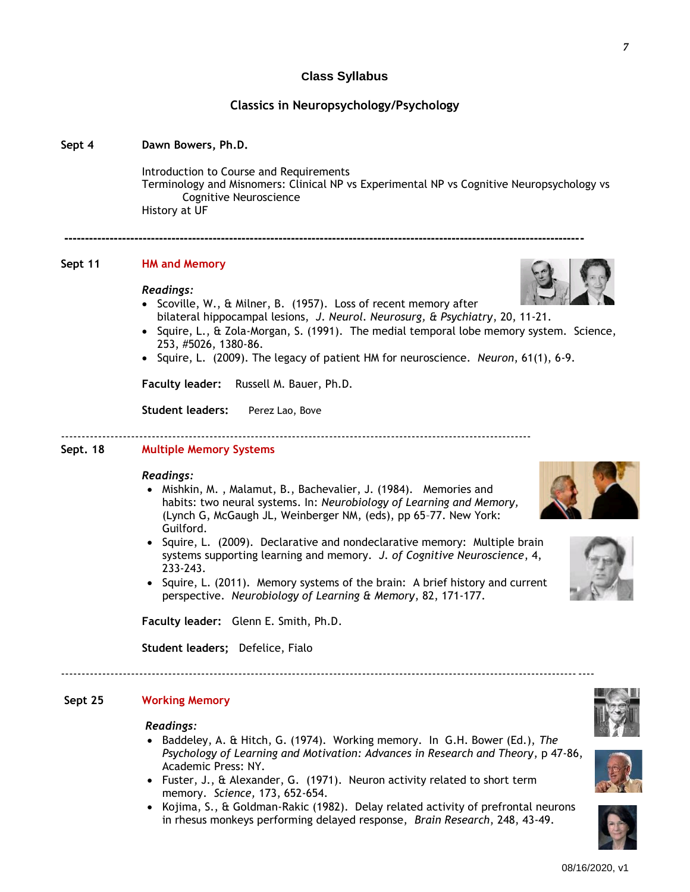### **Class Syllabus**

### **Classics in Neuropsychology/Psychology**

#### **Sept 4 Dawn Bowers, Ph.D.**

Introduction to Course and Requirements Terminology and Misnomers: Clinical NP vs Experimental NP vs Cognitive Neuropsychology vs Cognitive Neuroscience History at UF

#### **Sept 11 HM and Memory**

#### *Readings:*

• Scoville, W., & Milner, B. (1957). Loss of recent memory after bilateral hippocampal lesions, *J. Neurol. Neurosurg, & Psychiatry*, 20, 11-21.

**------------------------------------------------------------------------------------------------------------------------------**

• Squire, L., & Zola-Morgan, S. (1991). The medial temporal lobe memory system. Science, 253, #5026, 1380-86.

------------------------------------------------------------------------------------------------------------------

Squire, L. (2009). The legacy of patient HM for neuroscience. *Neuron*, 61(1), 6-9.

**Faculty leader:** Russell M. Bauer, Ph.D.

**Student leaders:** Perez Lao, Bove

#### **Sept. 18 Multiple Memory Systems**

#### *Readings:*

- Mishkin, M. , Malamut, B., Bachevalier, J. (1984). Memories and habits: two neural systems. In: *Neurobiology of Learning and Memory,*  (Lynch G, McGaugh JL, Weinberger NM, (eds), pp 65–77. New York: Guilford.
- Squire, L. (2009). Declarative and nondeclarative memory: Multiple brain systems supporting learning and memory. *J. of Cognitive Neuroscience*, 4, 233-243.
- Squire, L. (2011). Memory systems of the brain: A brief history and current perspective. *Neurobiology of Learning & Memory*, 82, 171-177.

**Faculty leader:** Glenn E. Smith, Ph.D.

**Student leaders;** Defelice, Fialo

---------------------------------------------------------------------------------------------------------------------------------

#### **Sept 25 Working Memory**

#### *Readings:*

- Baddeley, A. & Hitch, G. (1974). Working memory. In G.H. Bower (Ed.), *The Psychology of Learning and Motivation: Advances in Research and Theory*, p 47-86, Academic Press: NY.
- Fuster, J., & Alexander, G. (1971). Neuron activity related to short term memory. *Science,* 173, 652-654.
- Kojima, S., & Goldman-Rakic (1982). Delay related activity of prefrontal neurons in rhesus monkeys performing delayed response, *Brain Research*, 248, 43-49.









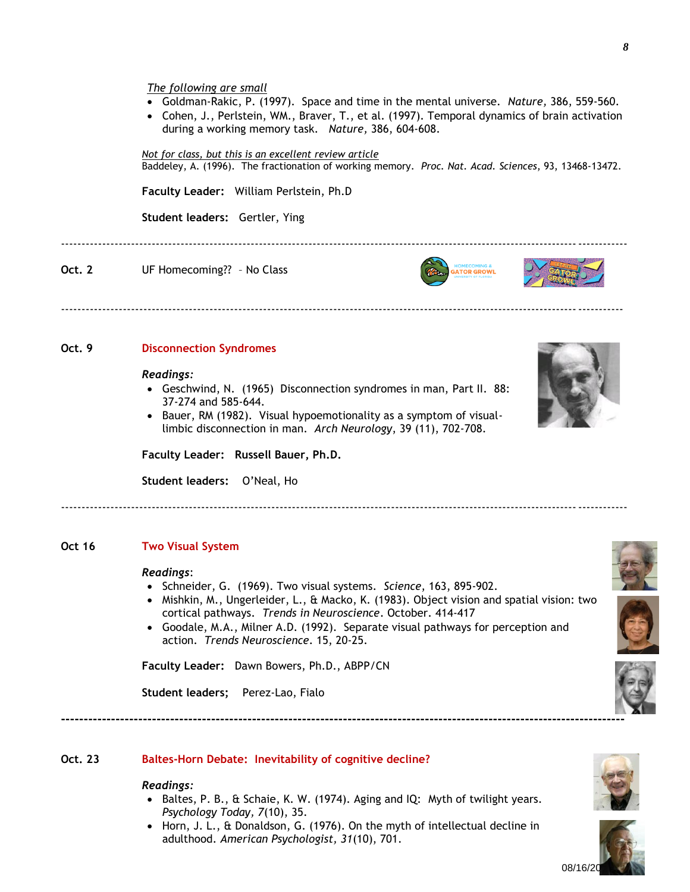- Goldman-Rakic, P. (1997). Space and time in the mental universe. *Nature,* 386, 559-560.
- Cohen, J., Perlstein, WM., Braver, T., et al. (1997). Temporal dynamics of brain activation during a working memory task. *Nature,* 386, 604-608.

### *Not for class, but this is an excellent review article*

Baddeley, A. (1996). The fractionation of working memory. *Proc. Nat. Acad. Sciences*, 93, 13468-13472.

-----------------------------------------------------------------------------------------------------------------------------------------

**GATOR GROWL** 

-----------------------------------------------------------------------------------------------------------------------------------------

**Faculty Leader:** William Perlstein, Ph.D

**Student leaders:** Gertler, Ying

**Oct. 2** UF Homecoming?? - No Class

**Oct. 9 Disconnection Syndromes**

#### *Readings:*

 Geschwind, N. (1965) Disconnection syndromes in man, Part II. 88: 37-274 and 585-644.

----------------------------------------------------------------------------------------------------------------------------------------

 Bauer, RM (1982). Visual hypoemotionality as a symptom of visuallimbic disconnection in man. *Arch Neurology*, 39 (11), 702-708.

**Faculty Leader: Russell Bauer, Ph.D.**

**Student leaders:** O'Neal, Ho

**Oct 16 Two Visual System**

#### *Readings*:

- Schneider, G. (1969). Two visual systems. *Science*, 163, 895-902.
- Mishkin, M., Ungerleider, L., & Macko, K. (1983). Object vision and spatial vision: two cortical pathways. *Trends in Neuroscience*. October. 414-417

**----------------------------------------------------------------------------------------------------------------------------**

 Goodale, M.A., Milner A.D. (1992). Separate visual pathways for perception and action. *Trends Neuroscience*. 15, 20-25.

**Faculty Leader:** Dawn Bowers, Ph.D., ABPP/CN

**Student leaders;** Perez-Lao, Fialo

**Oct. 23 Baltes-Horn Debate: Inevitability of cognitive decline?**

#### *Readings:*

- Baltes, P. B., & Schaie, K. W. (1974). Aging and IQ: Myth of twilight years. *Psychology Today, 7*(10), 35.
- Horn, J. L., & Donaldson, G. (1976). On the myth of intellectual decline in adulthood. *American Psychologist, 31*(10), 701.



08/16/20









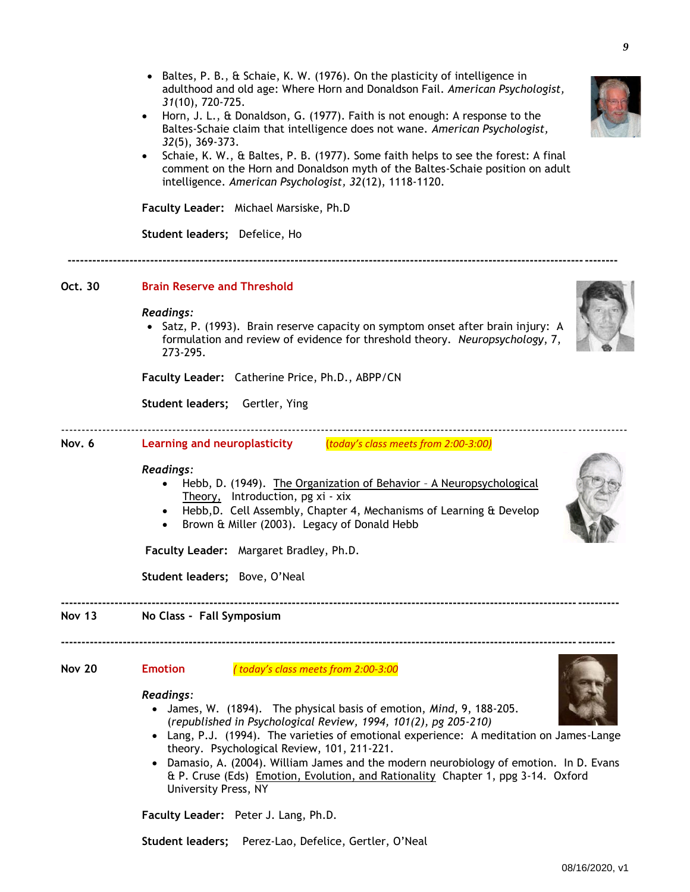- Baltes, P. B., & Schaie, K. W. (1976). On the plasticity of intelligence in adulthood and old age: Where Horn and Donaldson Fail. *American Psychologist, 31*(10), 720-725. Horn, J. L., & Donaldson, G. (1977). Faith is not enough: A response to the
- Baltes-Schaie claim that intelligence does not wane. *American Psychologist, 32*(5), 369-373. Schaie, K. W., & Baltes, P. B. (1977). Some faith helps to see the forest: A final
- comment on the Horn and Donaldson myth of the Baltes-Schaie position on adult intelligence. *American Psychologist, 32*(12), 1118-1120.

**Faculty Leader:** Michael Marsiske, Ph.D

**Student leaders;** Defelice, Ho

**-------------------------------------------------------------------------------------------------------------------------------------**

## **Oct. 30 Brain Reserve and Threshold**

### *Readings:*

• Satz, P. (1993). Brain reserve capacity on symptom onset after brain injury: A formulation and review of evidence for threshold theory. *Neuropsychology*, 7, 273-295.

**Faculty Leader:** Catherine Price, Ph.D., ABPP/CN

**Student leaders;** Gertler, Ying

**Nov. 6 Learning and neuroplasticity** (*today's class meets from 2:00-3:00)*

## *Readings:*

 Hebb, D. (1949). The Organization of Behavior – A Neuropsychological Theory, Introduction, pg xi - xix

-----------------------------------------------------------------------------------------------------------------------------------------

- Hebb,D. Cell Assembly, Chapter 4, Mechanisms of Learning & Develop
- Brown & Miller (2003). Legacy of Donald Hebb

**Faculty Leader:** Margaret Bradley, Ph.D.

**Student leaders;** Bove, O'Neal

**Nov 13 No Class - Fall Symposium**

**Nov 20 Emotion** *( today's class meets from 2:00-3:00*

### *Readings:*

 James, W. (1894). The physical basis of emotion, *Mind*, 9, 188-205. (*republished in Psychological Review, 1994, 101(2), pg 205-210)*

**--------------------------------------------------------------------------------------------------------------------------------------**

 Lang, P.J. (1994). The varieties of emotional experience: A meditation on James-Lange theory. Psychological Review, 101, 211-221.

**---------------------------------------------------------------------------------------------------------------------------------------**

• Damasio, A. (2004). William James and the modern neurobiology of emotion. In D. Evans & P. Cruse (Eds) Emotion, Evolution, and Rationality Chapter 1, ppg 3-14. Oxford University Press, NY

**Faculty Leader:** Peter J. Lang, Ph.D.

**Student leaders;** Perez-Lao, Defelice, Gertler, O'Neal

*9*